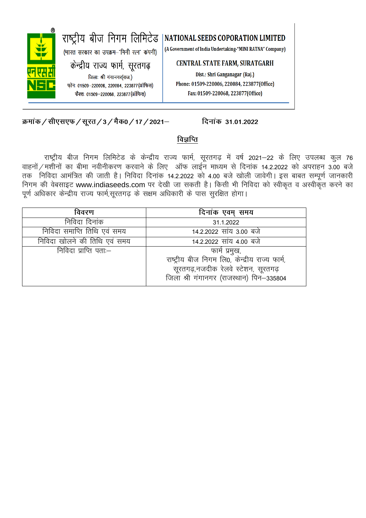

क्रमांक / सीएसएफ / सूरत / 3 / मैक0 / 17 / 2021–

## दिनांक 31.01.2022

# विज्ञप्ति

राष्ट्रीय बीज निगम लिमिटेड के केन्द्रीय राज्य फार्म, सूरतगढ़ में वर्ष 2021-22 के लिए उपलब्ध कुल 76 वाहनों / मशीनों का बीमा नवीनीकरण करवाने के लिए ऑफ लाईन माध्यम से दिनांक 14.2.2022 को अपराहन 3.00 बजे तक निविदा आमंत्रित की जाती है। निविदा दिनांक 14.2.2022 को 4.00 बजे खोली जावेगी। इस बाबत सम्पूर्ण जानकारी निगम की वेबसाइट www.indiaseeds.com पर देखी जा सकती है। किसी भी निविदा को स्वीकृत व अस्वीकृत करने का पूर्ण अधिकार केन्द्रीय राज्य फार्म,सूरतगढ़ के सक्षम अधिकारी के पास सूरक्षित होगा।

| विवरण                        | दिनांक एवम् समय                                |
|------------------------------|------------------------------------------------|
| निविदा दिनांक                | 31.1.2022                                      |
| निविदा समाप्ति तिथि एवं समय  | 14.2.2022 सांय 3.00 बजे                        |
| निविदा खोलने की तिथि एवं समय | 14.2.2022 सांय 4.00 बजे                        |
| निविदा प्राप्ति पताः—        | फार्म प्रमुख,                                  |
|                              | राष्ट्रीय बीज निगम लि0, केन्द्रीय राज्य फार्म, |
|                              | सूरतगढ़,नजदीक रेलवे स्टेशन, सूरतगढ़            |
|                              | जिला श्री गंगानगर (राजस्थान) पिन-335804        |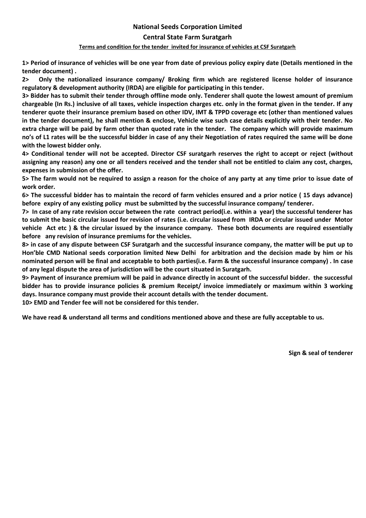### **National Seeds Corporation Limited**

### **Central State Farm Suratgarh**

#### **Terms and condition for the tender invited for insurance of vehicles at CSF Suratgarh**

**1> Period of insurance of vehicles will be one year from date of previous policy expiry date (Details mentioned in the tender document) .**

**2> Only the nationalized insurance company/ Broking firm which are registered license holder of insurance regulatory & development authority (IRDA) are eligible for participating in this tender.**

**3> Bidder has to submit their tender through offline mode only. Tenderer shall quote the lowest amount of premium chargeable (In Rs.) inclusive of all taxes, vehicle inspection charges etc. only in the format given in the tender. If any tenderer quote their insurance premium based on other IDV, IMT & TPPD coverage etc (other than mentioned values in the tender document), he shall mention & enclose, Vehicle wise such case details explicitly with their tender. No extra charge will be paid by farm other than quoted rate in the tender. The company which will provide maximum no's of L1 rates will be the successful bidder in case of any their Negotiation of rates required the same will be done with the lowest bidder only.**

**4> Conditional tender will not be accepted. Director CSF suratgarh reserves the right to accept or reject (without assigning any reason) any one or all tenders received and the tender shall not be entitled to claim any cost, charges, expenses in submission of the offer.**

**5> The farm would not be required to assign a reason for the choice of any party at any time prior to issue date of work order.** 

**6> The successful bidder has to maintain the record of farm vehicles ensured and a prior notice ( 15 days advance) before expiry of any existing policy must be submitted by the successful insurance company/ tenderer.** 

**7> In case of any rate revision occur between the rate contract period(i.e. within a year) the successful tenderer has to submit the basic circular issued for revision of rates (i.e. circular issued from IRDA or circular issued under Motor vehicle Act etc ) & the circular issued by the insurance company. These both documents are required essentially before any revision of insurance premiums for the vehicles.**

**8> in case of any dispute between CSF Suratgarh and the successful insurance company, the matter will be put up to Hon'ble CMD National seeds corporation limited New Delhi for arbitration and the decision made by him or his nominated person will be final and acceptable to both parties(i.e. Farm & the successful insurance company) . In case of any legal dispute the area of jurisdiction will be the court situated in Suratgarh.** 

**9> Payment of insurance premium will be paid in advance directly in account of the successful bidder. the successful bidder has to provide insurance policies & premium Receipt/ invoice immediately or maximum within 3 working days. Insurance company must provide their account details with the tender document.** 

**10> EMD and Tender fee will not be considered for this tender.**

**We have read & understand all terms and conditions mentioned above and these are fully acceptable to us.**

**Sign & seal of tenderer**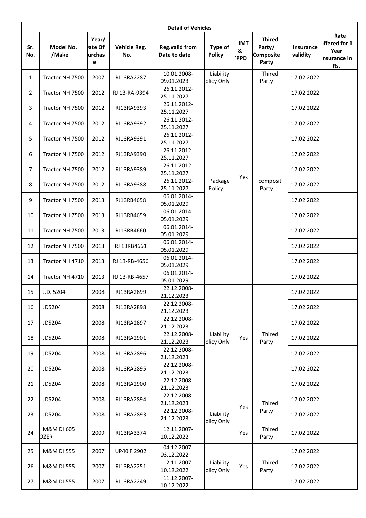|                | <b>Detail of Vehicles</b> |                                |                     |                                       |                          |                               |                                               |                              |                                                    |
|----------------|---------------------------|--------------------------------|---------------------|---------------------------------------|--------------------------|-------------------------------|-----------------------------------------------|------------------------------|----------------------------------------------------|
| Sr.<br>No.     | Model No.<br>/Make        | Year/<br>ate Of<br>urchas<br>e | Vehicle Reg.<br>No. | <b>Reg.valid from</b><br>Date to date | Type of<br><b>Policy</b> | <b>IMT</b><br>&<br><b>PPD</b> | <b>Thired</b><br>Party/<br>Composite<br>Party | <b>Insurance</b><br>validity | Rate<br>ffered for 1<br>Year<br>nsurance in<br>Rs. |
| $\mathbf{1}$   | Tractor NH 7500           | 2007                           | RJ13RA2287          | 10.01.2008-<br>09.01.2023             | Liability<br>olicy Only  |                               | Thired<br>Party                               | 17.02.2022                   |                                                    |
| $\overline{2}$ | Tractor NH 7500           | 2012                           | RJ 13-RA-9394       | 26.11.2012-<br>25.11.2027             |                          |                               |                                               | 17.02.2022                   |                                                    |
| 3              | Tractor NH 7500           | 2012                           | RJ13RA9393          | 26.11.2012-<br>25.11.2027             |                          |                               |                                               | 17.02.2022                   |                                                    |
| 4              | Tractor NH 7500           | 2012                           | RJ13RA9392          | 26.11.2012-<br>25.11.2027             |                          |                               |                                               | 17.02.2022                   |                                                    |
| 5              | Tractor NH 7500           | 2012                           | RJ13RA9391          | 26.11.2012-<br>25.11.2027             |                          |                               |                                               | 17.02.2022                   |                                                    |
| 6              | Tractor NH 7500           | 2012                           | RJ13RA9390          | 26.11.2012-<br>25.11.2027             |                          |                               |                                               | 17.02.2022                   |                                                    |
| 7              | Tractor NH 7500           | 2012                           | RJ13RA9389          | 26.11.2012-<br>25.11.2027             |                          |                               |                                               | 17.02.2022                   |                                                    |
| 8              | Tractor NH 7500           | 2012                           | RJ13RA9388          | 26.11.2012-<br>25.11.2027             | Package<br>Policy        | Yes                           | composit<br>Party                             | 17.02.2022                   |                                                    |
| 9              | Tractor NH 7500           | 2013                           | RJ13RB4658          | 06.01.2014-<br>05.01.2029             |                          |                               |                                               | 17.02.2022                   |                                                    |
| 10             | Tractor NH 7500           | 2013                           | RJ13RB4659          | 06.01.2014-<br>05.01.2029             |                          |                               |                                               | 17.02.2022                   |                                                    |
| 11             | Tractor NH 7500           | 2013                           | RJ13RB4660          | 06.01.2014-<br>05.01.2029             |                          |                               |                                               | 17.02.2022                   |                                                    |
| 12             | Tractor NH 7500           | 2013                           | RJ 13RB4661         | 06.01.2014-<br>05.01.2029             |                          |                               |                                               | 17.02.2022                   |                                                    |
| 13             | Tractor NH 4710           | 2013                           | RJ 13-RB-4656       | 06.01.2014-<br>05.01.2029             |                          |                               |                                               | 17.02.2022                   |                                                    |
| 14             | Tractor NH 4710           | 2013                           | RJ 13-RB-4657       | 06.01.2014-<br>05.01.2029             |                          |                               |                                               | 17.02.2022                   |                                                    |
| 15             | J.D. 5204                 | 2008                           | RJ13RA2899          | 22.12.2008-<br>21.12.2023             |                          |                               | Thired<br>Party                               | 17.02.2022                   |                                                    |
| 16             | JD5204                    | 2008                           | RJ13RA2898          | 22.12.2008-<br>21.12.2023             |                          |                               |                                               | 17.02.2022                   |                                                    |
| 17             | JD5204                    | 2008                           | RJ13RA2897          | 22.12.2008-<br>21.12.2023             |                          |                               |                                               | 17.02.2022                   |                                                    |
| 18             | JD5204                    | 2008                           | RJ13RA2901          | 22.12.2008-<br>21.12.2023             | Liability<br>olicy Only  | Yes                           |                                               | 17.02.2022                   |                                                    |
| 19             | JD5204                    | 2008                           | RJ13RA2896          | 22.12.2008-<br>21.12.2023             |                          |                               |                                               | 17.02.2022                   |                                                    |
| 20             | JD5204                    | 2008                           | RJ13RA2895          | 22.12.2008-<br>21.12.2023             |                          |                               |                                               | 17.02.2022                   |                                                    |
| 21             | JD5204                    | 2008                           | RJ13RA2900          | 22.12.2008-<br>21.12.2023             |                          |                               |                                               | 17.02.2022                   |                                                    |
| 22             | JD5204                    | 2008                           | RJ13RA2894          | 22.12.2008-<br>21.12.2023             |                          | Yes                           | Thired<br>Party                               | 17.02.2022                   |                                                    |
| 23             | JD5204                    | 2008                           | RJ13RA2893          | 22.12.2008-<br>21.12.2023             | Liability                |                               |                                               | 17.02.2022                   |                                                    |
| 24             | M&M DI 605<br>OZER        | 2009                           | RJ13RA3374          | 12.11.2007-<br>10.12.2022             | olicy Only               | Yes                           | Thired<br>Party                               | 17.02.2022                   |                                                    |
| 25             | M&M DI 555                | 2007                           | <b>UP40 F 2902</b>  | 04.12.2007-<br>03.12.2022             |                          |                               | Thired<br>Party                               | 17.02.2022                   |                                                    |
| 26             | M&M DI 555                | 2007                           | RJ13RA2251          | 12.11.2007-<br>10.12.2022             | Liability<br>olicy Only  | Yes                           |                                               | 17.02.2022                   |                                                    |
| 27             | M&M DI 555                | 2007                           | RJ13RA2249          | 11.12.2007-<br>10.12.2022             |                          |                               |                                               | 17.02.2022                   |                                                    |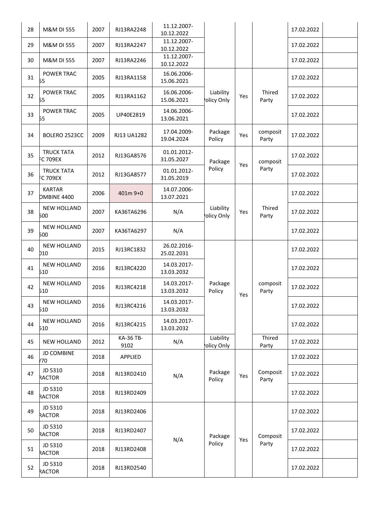| 28 | M&M DI 555                           | 2007 | RJ13RA2248        | 11.12.2007-<br>10.12.2022 |                         |     |                   | 17.02.2022 |  |
|----|--------------------------------------|------|-------------------|---------------------------|-------------------------|-----|-------------------|------------|--|
| 29 | M&M DI 555                           | 2007 | RJ13RA2247        | 11.12.2007-<br>10.12.2022 |                         |     |                   | 17.02.2022 |  |
| 30 | <b>M&amp;M DI 555</b>                | 2007 | RJ13RA2246        | 11.12.2007-<br>10.12.2022 |                         |     |                   | 17.02.2022 |  |
| 31 | POWER TRAC<br>55                     | 2005 | RJ13RA1158        | 16.06.2006-<br>15.06.2021 |                         |     |                   | 17.02.2022 |  |
| 32 | POWER TRAC<br>55                     | 2005 | RJ13RA1162        | 16.06.2006-<br>15.06.2021 | Liability<br>olicy Only | Yes | Thired<br>Party   | 17.02.2022 |  |
| 33 | <b>POWER TRAC</b><br>55              | 2005 | UP40E2819         | 14.06.2006-<br>13.06.2021 |                         |     |                   | 17.02.2022 |  |
| 34 | BOLERO 2523CC                        | 2009 | RJ13 UA1282       | 17.04.2009-<br>19.04.2024 | Package<br>Policy       | Yes | composit<br>Party | 17.02.2022 |  |
| 35 | <b>TRUCK TATA</b><br><b>C 709EX</b>  | 2012 | RJ13GA8576        | 01.01.2012-<br>31.05.2027 | Package                 | Yes | composit          | 17.02.2022 |  |
| 36 | <b>TRUCK TATA</b><br><b>FC 709EX</b> | 2012 | RJ13GA8577        | 01.01.2012-<br>31.05.2019 | Policy                  |     | Party             | 17.02.2022 |  |
| 37 | <b>KARTAR</b><br><b>DMBINE 4400</b>  | 2006 | 401m 9+0          | 14.07.2006-<br>13.07.2021 |                         |     |                   | 17.02.2022 |  |
| 38 | <b>NEW HOLLAND</b><br>500            | 2007 | KA36TA6296        | N/A                       | Liability<br>olicy Only | Yes | Thired<br>Party   | 17.02.2022 |  |
| 39 | <b>NEW HOLLAND</b><br>500            | 2007 | KA36TA6297        | N/A                       |                         |     |                   | 17.02.2022 |  |
| 40 | <b>NEW HOLLAND</b><br>D10            | 2015 | RJ13RC1832        | 26.02.2016-<br>25.02.2031 |                         |     | composit<br>Party | 17.02.2022 |  |
| 41 | <b>NEW HOLLAND</b><br>510            | 2016 | RJ13RC4220        | 14.03.2017-<br>13.03.2032 |                         |     |                   | 17.02.2022 |  |
| 42 | <b>NEW HOLLAND</b><br>510            | 2016 | RJ13RC4218        | 14.03.2017-<br>13.03.2032 | Package<br>Policy       | Yes |                   | 17.02.2022 |  |
| 43 | <b>NEW HOLLAND</b><br>510            | 2016 | RJ13RC4216        | 14.03.2017-<br>13.03.2032 |                         |     |                   | 17.02.2022 |  |
| 44 | <b>NEW HOLLAND</b><br>510            | 2016 | RJ13RC4215        | 14.03.2017-<br>13.03.2032 |                         |     |                   | 17.02.2022 |  |
| 45 | <b>NEW HOLLAND</b>                   | 2012 | KA-36 TB-<br>9102 | N/A                       | Liability<br>olicy Only |     | Thired<br>Party   | 17.02.2022 |  |
| 46 | <b>JD COMBINE</b><br>/70             | 2018 | APPLIED           |                           |                         |     |                   | 17.02.2022 |  |
| 47 | JD 5310<br>RACTOR                    | 2018 | RJ13RD2410        | N/A                       | Package<br>Policy       | Yes | Composit<br>Party | 17.02.2022 |  |
| 48 | JD 5310<br>RACTOR                    | 2018 | RJ13RD2409        |                           |                         |     |                   | 17.02.2022 |  |
| 49 | JD 5310<br>RACTOR                    | 2018 | RJ13RD2406        |                           |                         | Yes | Composit<br>Party | 17.02.2022 |  |
| 50 | JD 5310<br>RACTOR                    | 2018 | RJ13RD2407        |                           | Package                 |     |                   | 17.02.2022 |  |
| 51 | JD 5310<br>RACTOR                    | 2018 | RJ13RD2408        | N/A                       | Policy                  |     |                   | 17.02.2022 |  |
| 52 | JD 5310<br>RACTOR                    | 2018 | RJ13RD2540        |                           |                         |     |                   | 17.02.2022 |  |